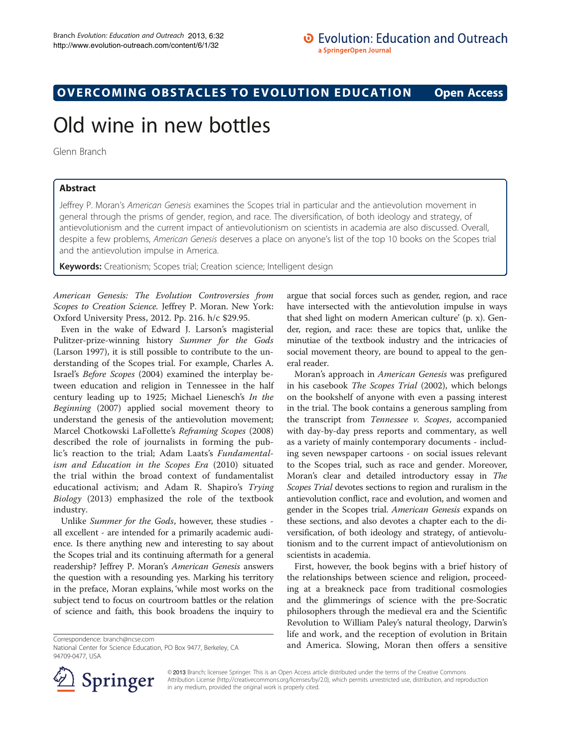## OVERCOMING OBSTACLES TO EVOLUTION EDUCATION Open Access

# Old wine in new bottles

Glenn Branch

## Abstract

Jeffrey P. Moran's American Genesis examines the Scopes trial in particular and the antievolution movement in general through the prisms of gender, region, and race. The diversification, of both ideology and strategy, of antievolutionism and the current impact of antievolutionism on scientists in academia are also discussed. Overall, despite a few problems, American Genesis deserves a place on anyone's list of the top 10 books on the Scopes trial and the antievolution impulse in America.

Keywords: Creationism; Scopes trial; Creation science; Intelligent design

American Genesis: The Evolution Controversies from Scopes to Creation Science. Jeffrey P. Moran. New York: Oxford University Press, 2012. Pp. 216. h/c \$29.95.

Even in the wake of Edward J. Larson's magisterial Pulitzer-prize-winning history Summer for the Gods (Larson [1997\)](#page-3-0), it is still possible to contribute to the understanding of the Scopes trial. For example, Charles A. Israel's Before Scopes [\(2004](#page-3-0)) examined the interplay between education and religion in Tennessee in the half century leading up to 1925; Michael Lienesch's In the Beginning [\(2007\)](#page-3-0) applied social movement theory to understand the genesis of the antievolution movement; Marcel Chotkowski LaFollette's Reframing Scopes ([2008](#page-3-0)) described the role of journalists in forming the public's reaction to the trial; Adam Laats's Fundamentalism and Education in the Scopes Era ([2010\)](#page-3-0) situated the trial within the broad context of fundamentalist educational activism; and Adam R. Shapiro's Trying Biology ([2013\)](#page-3-0) emphasized the role of the textbook industry.

Unlike Summer for the Gods, however, these studies all excellent - are intended for a primarily academic audience. Is there anything new and interesting to say about the Scopes trial and its continuing aftermath for a general readership? Jeffrey P. Moran's American Genesis answers the question with a resounding yes. Marking his territory in the preface, Moran explains, 'while most works on the subject tend to focus on courtroom battles or the relation of science and faith, this book broadens the inquiry to

National Center for Science Education, PO Box 9477, Berkeley, CA 94709-0477, USA

argue that social forces such as gender, region, and race have intersected with the antievolution impulse in ways that shed light on modern American culture' (p. x). Gender, region, and race: these are topics that, unlike the minutiae of the textbook industry and the intricacies of social movement theory, are bound to appeal to the general reader.

Moran's approach in American Genesis was prefigured in his casebook The Scopes Trial [\(2002\)](#page-3-0), which belongs on the bookshelf of anyone with even a passing interest in the trial. The book contains a generous sampling from the transcript from Tennessee  $\nu$ . Scopes, accompanied with day-by-day press reports and commentary, as well as a variety of mainly contemporary documents - including seven newspaper cartoons - on social issues relevant to the Scopes trial, such as race and gender. Moreover, Moran's clear and detailed introductory essay in The Scopes Trial devotes sections to region and ruralism in the antievolution conflict, race and evolution, and women and gender in the Scopes trial. American Genesis expands on these sections, and also devotes a chapter each to the diversification, of both ideology and strategy, of antievolutionism and to the current impact of antievolutionism on scientists in academia.

First, however, the book begins with a brief history of the relationships between science and religion, proceeding at a breakneck pace from traditional cosmologies and the glimmerings of science with the pre-Socratic philosophers through the medieval era and the Scientific Revolution to William Paley's natural theology, Darwin's life and work, and the reception of evolution in Britain and America. Slowing, Moran then offers a sensitive Correspondence: [branch@ncse.com](mailto:branch@ncse.com)



© 2013 Branch; licensee Springer. This is an Open Access article distributed under the terms of the Creative Commons Attribution License [\(http://creativecommons.org/licenses/by/2.0\)](http://creativecommons.org/licenses/by/2.0), which permits unrestricted use, distribution, and reproduction in any medium, provided the original work is properly cited.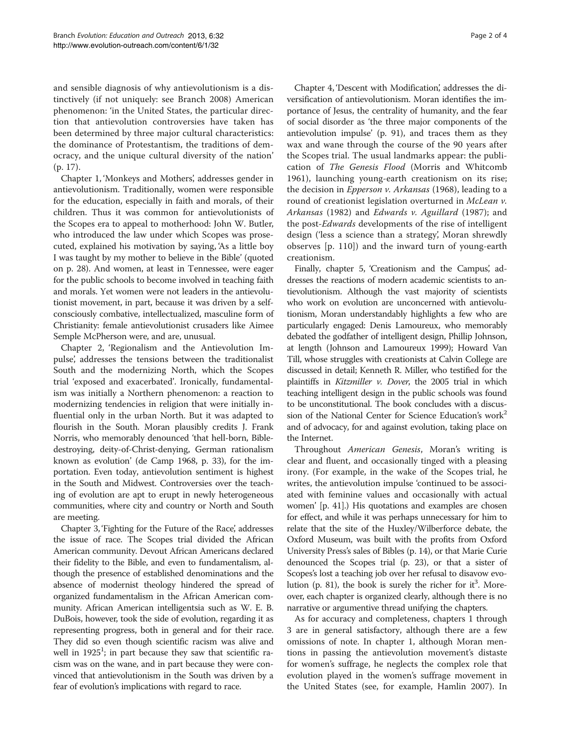and sensible diagnosis of why antievolutionism is a distinctively (if not uniquely: see Branch [2008\)](#page-3-0) American phenomenon: 'in the United States, the particular direction that antievolution controversies have taken has been determined by three major cultural characteristics: the dominance of Protestantism, the traditions of democracy, and the unique cultural diversity of the nation' (p. 17).

Chapter 1, 'Monkeys and Mothers', addresses gender in antievolutionism. Traditionally, women were responsible for the education, especially in faith and morals, of their children. Thus it was common for antievolutionists of the Scopes era to appeal to motherhood: John W. Butler, who introduced the law under which Scopes was prosecuted, explained his motivation by saying, 'As a little boy I was taught by my mother to believe in the Bible' (quoted on p. 28). And women, at least in Tennessee, were eager for the public schools to become involved in teaching faith and morals. Yet women were not leaders in the antievolutionist movement, in part, because it was driven by a selfconsciously combative, intellectualized, masculine form of Christianity: female antievolutionist crusaders like Aimee Semple McPherson were, and are, unusual.

Chapter 2, 'Regionalism and the Antievolution Impulse', addresses the tensions between the traditionalist South and the modernizing North, which the Scopes trial 'exposed and exacerbated'. Ironically, fundamentalism was initially a Northern phenomenon: a reaction to modernizing tendencies in religion that were initially influential only in the urban North. But it was adapted to flourish in the South. Moran plausibly credits J. Frank Norris, who memorably denounced 'that hell-born, Bibledestroying, deity-of-Christ-denying, German rationalism known as evolution' (de Camp [1968,](#page-3-0) p. 33), for the importation. Even today, antievolution sentiment is highest in the South and Midwest. Controversies over the teaching of evolution are apt to erupt in newly heterogeneous communities, where city and country or North and South are meeting.

Chapter 3, 'Fighting for the Future of the Race', addresses the issue of race. The Scopes trial divided the African American community. Devout African Americans declared their fidelity to the Bible, and even to fundamentalism, although the presence of established denominations and the absence of modernist theology hindered the spread of organized fundamentalism in the African American community. African American intelligentsia such as W. E. B. DuBois, however, took the side of evolution, regarding it as representing progress, both in general and for their race. They did so even though scientific racism was alive and well in 1925<sup>1</sup>; in part because they saw that scientific racism was on the wane, and in part because they were convinced that antievolutionism in the South was driven by a fear of evolution's implications with regard to race.

Chapter 4, 'Descent with Modification', addresses the diversification of antievolutionism. Moran identifies the importance of Jesus, the centrality of humanity, and the fear of social disorder as 'the three major components of the antievolution impulse' (p. 91), and traces them as they wax and wane through the course of the 90 years after the Scopes trial. The usual landmarks appear: the publication of The Genesis Flood (Morris and Whitcomb [1961\)](#page-3-0), launching young-earth creationism on its rise; the decision in Epperson v. Arkansas (1968), leading to a round of creationist legislation overturned in McLean v. Arkansas (1982) and Edwards v. Aguillard (1987); and the post-Edwards developments of the rise of intelligent design ('less a science than a strategy', Moran shrewdly observes [p. 110]) and the inward turn of young-earth creationism.

Finally, chapter 5, 'Creationism and the Campus', addresses the reactions of modern academic scientists to antievolutionism. Although the vast majority of scientists who work on evolution are unconcerned with antievolutionism, Moran understandably highlights a few who are particularly engaged: Denis Lamoureux, who memorably debated the godfather of intelligent design, Phillip Johnson, at length (Johnson and Lamoureux [1999](#page-3-0)); Howard Van Till, whose struggles with creationists at Calvin College are discussed in detail; Kenneth R. Miller, who testified for the plaintiffs in Kitzmiller v. Dover, the 2005 trial in which teaching intelligent design in the public schools was found to be unconstitutional. The book concludes with a discussion of the National Center for Science Education's work<sup>2</sup> and of advocacy, for and against evolution, taking place on the Internet.

Throughout American Genesis, Moran's writing is clear and fluent, and occasionally tinged with a pleasing irony. (For example, in the wake of the Scopes trial, he writes, the antievolution impulse 'continued to be associated with feminine values and occasionally with actual women' [p. 41].) His quotations and examples are chosen for effect, and while it was perhaps unnecessary for him to relate that the site of the Huxley/Wilberforce debate, the Oxford Museum, was built with the profits from Oxford University Press's sales of Bibles (p. 14), or that Marie Curie denounced the Scopes trial (p. 23), or that a sister of Scopes's lost a teaching job over her refusal to disavow evolution (p. 81), the book is surely the richer for it<sup>3</sup>. Moreover, each chapter is organized clearly, although there is no narrative or argumentive thread unifying the chapters.

As for accuracy and completeness, chapters 1 through 3 are in general satisfactory, although there are a few omissions of note. In chapter 1, although Moran mentions in passing the antievolution movement's distaste for women's suffrage, he neglects the complex role that evolution played in the women's suffrage movement in the United States (see, for example, Hamlin [2007\)](#page-3-0). In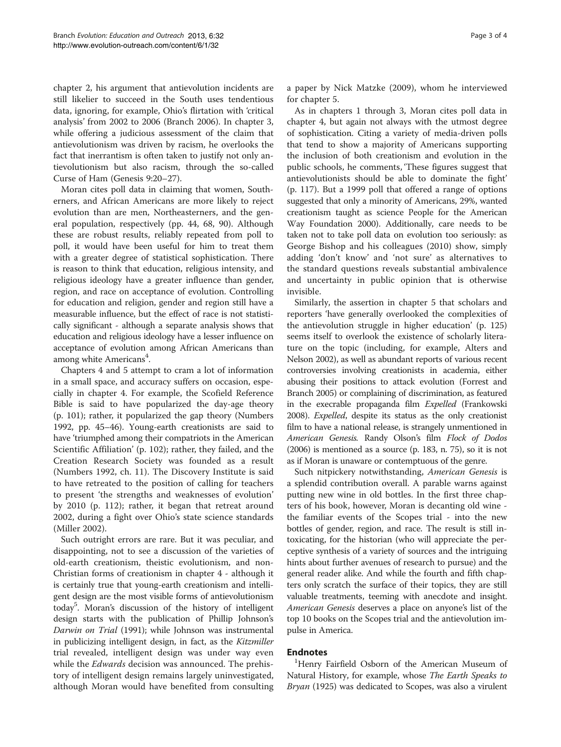chapter 2, his argument that antievolution incidents are still likelier to succeed in the South uses tendentious data, ignoring, for example, Ohio's flirtation with 'critical analysis' from 2002 to 2006 (Branch [2006\)](#page-3-0). In chapter 3, while offering a judicious assessment of the claim that antievolutionism was driven by racism, he overlooks the fact that inerrantism is often taken to justify not only antievolutionism but also racism, through the so-called Curse of Ham (Genesis 9:20–27).

Moran cites poll data in claiming that women, Southerners, and African Americans are more likely to reject evolution than are men, Northeasterners, and the general population, respectively (pp. 44, 68, 90). Although these are robust results, reliably repeated from poll to poll, it would have been useful for him to treat them with a greater degree of statistical sophistication. There is reason to think that education, religious intensity, and religious ideology have a greater influence than gender, region, and race on acceptance of evolution. Controlling for education and religion, gender and region still have a measurable influence, but the effect of race is not statistically significant - although a separate analysis shows that education and religious ideology have a lesser influence on acceptance of evolution among African Americans than among white  $\text{American}^4$ .

Chapters 4 and 5 attempt to cram a lot of information in a small space, and accuracy suffers on occasion, especially in chapter 4. For example, the Scofield Reference Bible is said to have popularized the day-age theory (p. 101); rather, it popularized the gap theory (Numbers [1992,](#page-3-0) pp. 45–46). Young-earth creationists are said to have 'triumphed among their compatriots in the American Scientific Affiliation' (p. 102); rather, they failed, and the Creation Research Society was founded as a result (Numbers [1992,](#page-3-0) ch. 11). The Discovery Institute is said to have retreated to the position of calling for teachers to present 'the strengths and weaknesses of evolution' by 2010 (p. 112); rather, it began that retreat around 2002, during a fight over Ohio's state science standards (Miller [2002\)](#page-3-0).

Such outright errors are rare. But it was peculiar, and disappointing, not to see a discussion of the varieties of old-earth creationism, theistic evolutionism, and non-Christian forms of creationism in chapter 4 - although it is certainly true that young-earth creationism and intelligent design are the most visible forms of antievolutionism today5 . Moran's discussion of the history of intelligent design starts with the publication of Phillip Johnson's Darwin on Trial [\(1991\)](#page-3-0); while Johnson was instrumental in publicizing intelligent design, in fact, as the Kitzmiller trial revealed, intelligent design was under way even while the *Edwards* decision was announced. The prehistory of intelligent design remains largely uninvestigated, although Moran would have benefited from consulting

a paper by Nick Matzke ([2009\)](#page-3-0), whom he interviewed for chapter 5.

As in chapters 1 through 3, Moran cites poll data in chapter 4, but again not always with the utmost degree of sophistication. Citing a variety of media-driven polls that tend to show a majority of Americans supporting the inclusion of both creationism and evolution in the public schools, he comments, 'These figures suggest that antievolutionists should be able to dominate the fight' (p. 117). But a 1999 poll that offered a range of options suggested that only a minority of Americans, 29%, wanted creationism taught as science People for the American Way Foundation [2000](#page-3-0)). Additionally, care needs to be taken not to take poll data on evolution too seriously: as George Bishop and his colleagues [\(2010](#page-3-0)) show, simply adding 'don't know' and 'not sure' as alternatives to the standard questions reveals substantial ambivalence and uncertainty in public opinion that is otherwise invisible.

Similarly, the assertion in chapter 5 that scholars and reporters 'have generally overlooked the complexities of the antievolution struggle in higher education' (p. 125) seems itself to overlook the existence of scholarly literature on the topic (including, for example, Alters and Nelson [2002](#page-3-0)), as well as abundant reports of various recent controversies involving creationists in academia, either abusing their positions to attack evolution (Forrest and Branch [2005\)](#page-3-0) or complaining of discrimination, as featured in the execrable propaganda film Expelled (Frankowski [2008\)](#page-3-0). Expelled, despite its status as the only creationist film to have a national release, is strangely unmentioned in American Genesis. Randy Olson's film Flock of Dodos ([2006\)](#page-3-0) is mentioned as a source (p. 183, n. 75), so it is not as if Moran is unaware or contemptuous of the genre.

Such nitpickery notwithstanding, American Genesis is a splendid contribution overall. A parable warns against putting new wine in old bottles. In the first three chapters of his book, however, Moran is decanting old wine the familiar events of the Scopes trial - into the new bottles of gender, region, and race. The result is still intoxicating, for the historian (who will appreciate the perceptive synthesis of a variety of sources and the intriguing hints about further avenues of research to pursue) and the general reader alike. And while the fourth and fifth chapters only scratch the surface of their topics, they are still valuable treatments, teeming with anecdote and insight. American Genesis deserves a place on anyone's list of the top 10 books on the Scopes trial and the antievolution impulse in America.

## Endnotes

<sup>1</sup>Henry Fairfield Osborn of the American Museum of Natural History, for example, whose The Earth Speaks to Bryan [\(1925](#page-3-0)) was dedicated to Scopes, was also a virulent